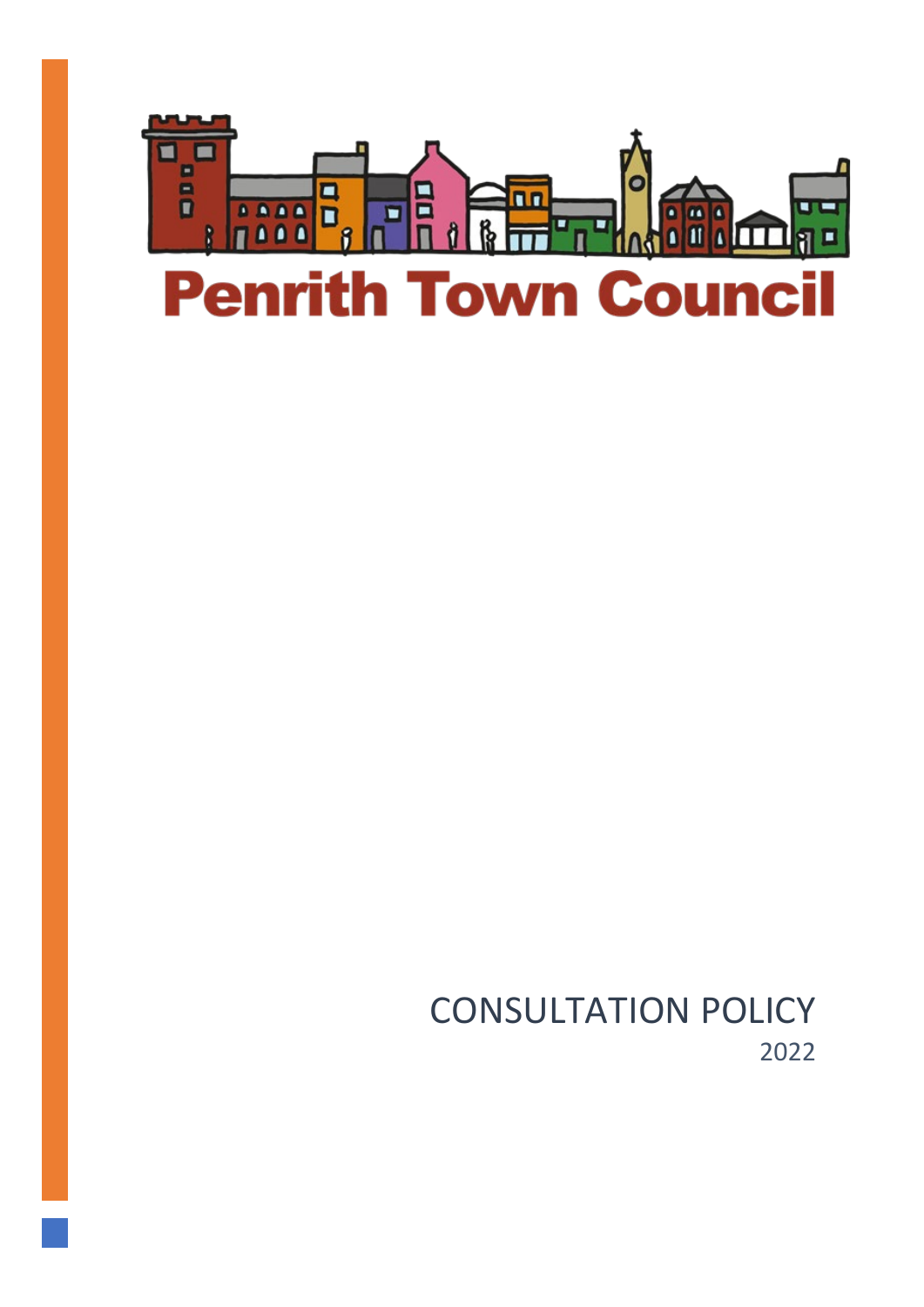

CONSULTATION POLICY 2022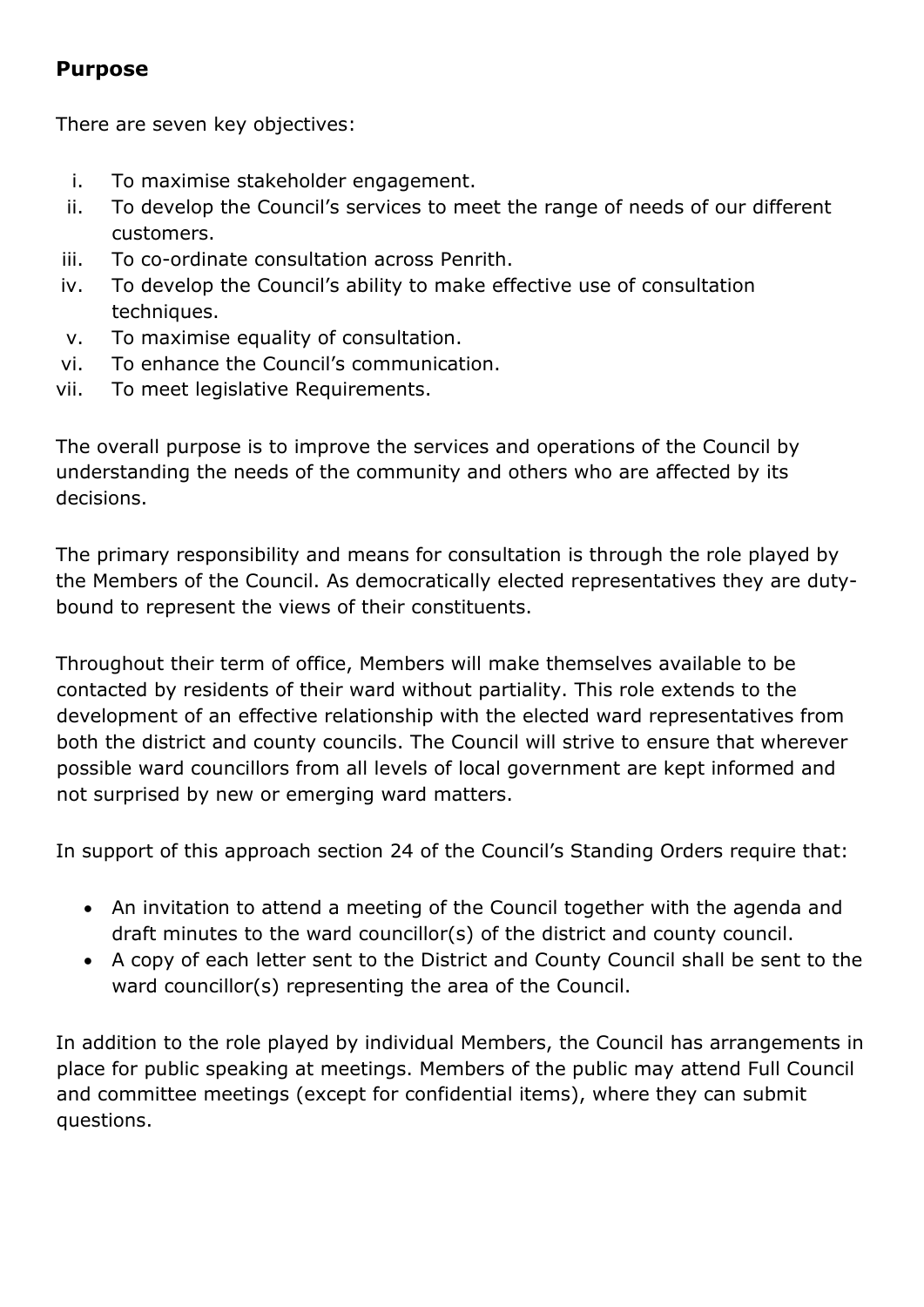# **Purpose**

There are seven key objectives:

- i. To maximise stakeholder engagement.
- ii. To develop the Council's services to meet the range of needs of our different customers.
- iii. To co-ordinate consultation across Penrith.
- iv. To develop the Council's ability to make effective use of consultation techniques.
- v. To maximise equality of consultation.
- vi. To enhance the Council's communication.
- vii. To meet legislative Requirements.

The overall purpose is to improve the services and operations of the Council by understanding the needs of the community and others who are affected by its decisions.

The primary responsibility and means for consultation is through the role played by the Members of the Council. As democratically elected representatives they are dutybound to represent the views of their constituents.

Throughout their term of office, Members will make themselves available to be contacted by residents of their ward without partiality. This role extends to the development of an effective relationship with the elected ward representatives from both the district and county councils. The Council will strive to ensure that wherever possible ward councillors from all levels of local government are kept informed and not surprised by new or emerging ward matters.

In support of this approach section 24 of the Council's Standing Orders require that:

- An invitation to attend a meeting of the Council together with the agenda and draft minutes to the ward councillor(s) of the district and county council.
- A copy of each letter sent to the District and County Council shall be sent to the ward councillor(s) representing the area of the Council.

In addition to the role played by individual Members, the Council has arrangements in place for public speaking at meetings. Members of the public may attend Full Council and committee meetings (except for confidential items), where they can submit questions.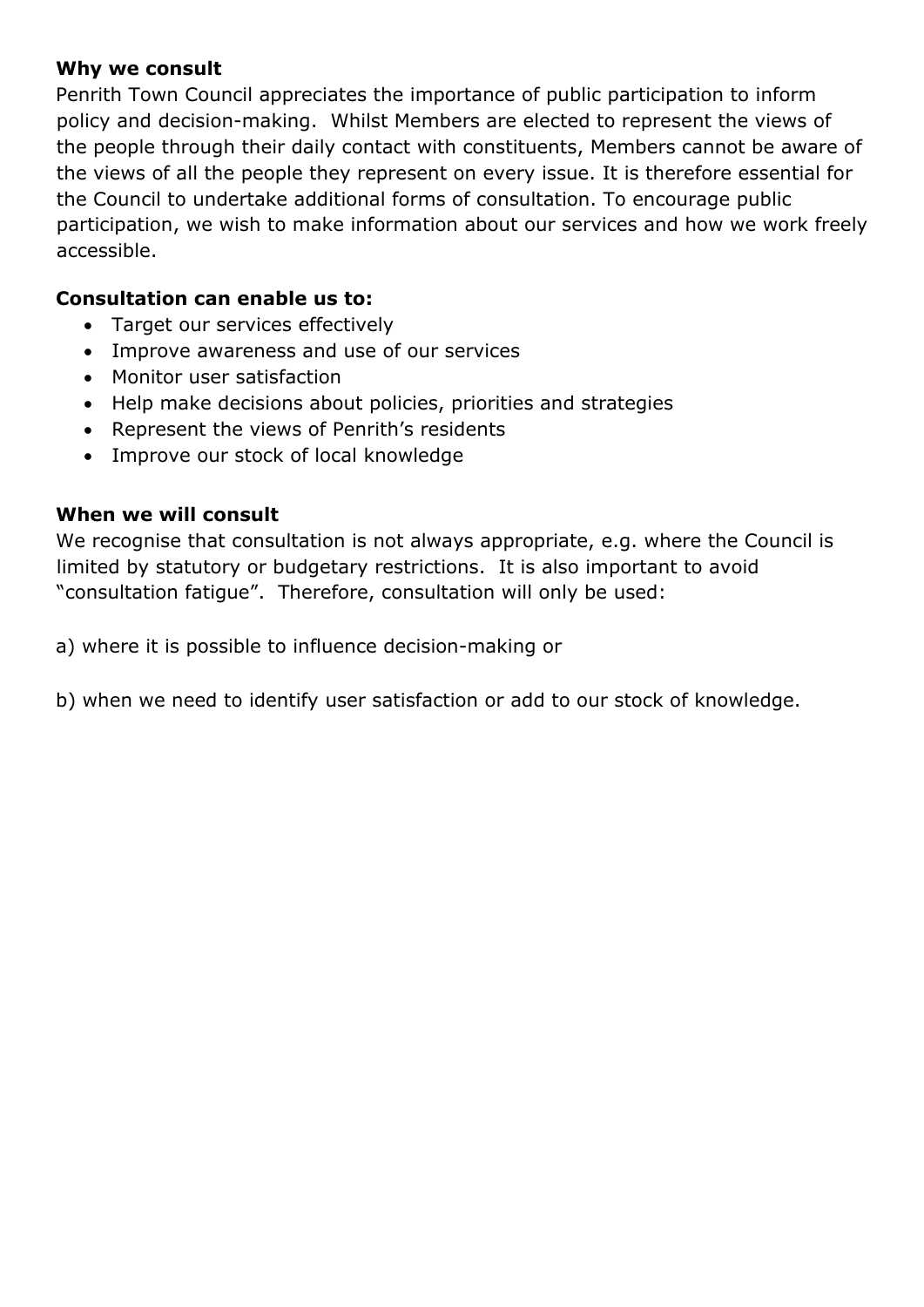#### **Why we consult**

Penrith Town Council appreciates the importance of public participation to inform policy and decision-making. Whilst Members are elected to represent the views of the people through their daily contact with constituents, Members cannot be aware of the views of all the people they represent on every issue. It is therefore essential for the Council to undertake additional forms of consultation. To encourage public participation, we wish to make information about our services and how we work freely accessible.

#### **Consultation can enable us to:**

- Target our services effectively
- Improve awareness and use of our services
- Monitor user satisfaction
- Help make decisions about policies, priorities and strategies
- Represent the views of Penrith's residents
- Improve our stock of local knowledge

#### **When we will consult**

We recognise that consultation is not always appropriate, e.g. where the Council is limited by statutory or budgetary restrictions. It is also important to avoid "consultation fatigue". Therefore, consultation will only be used:

a) where it is possible to influence decision-making or

b) when we need to identify user satisfaction or add to our stock of knowledge.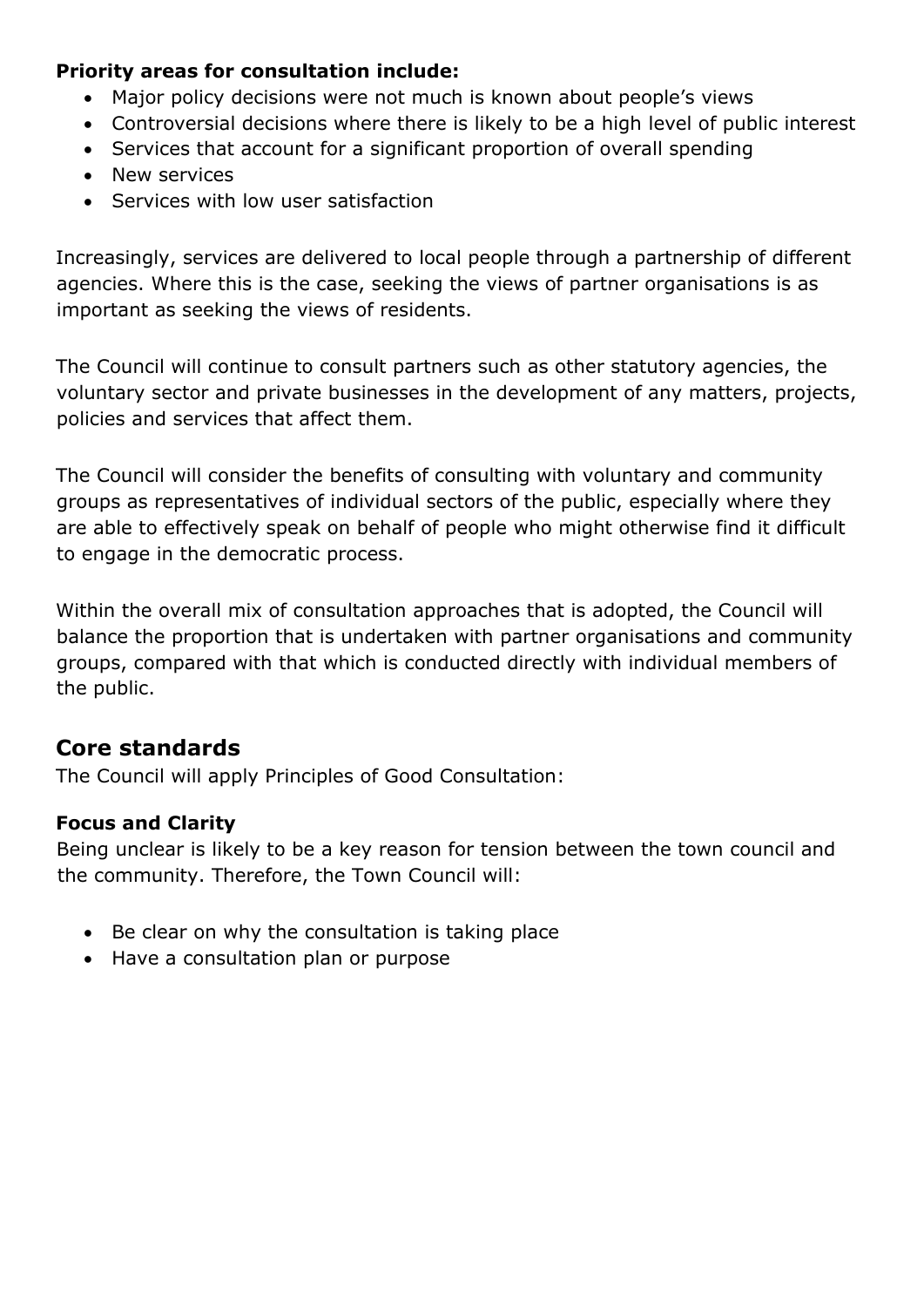#### **Priority areas for consultation include:**

- Major policy decisions were not much is known about people's views
- Controversial decisions where there is likely to be a high level of public interest
- Services that account for a significant proportion of overall spending
- New services
- Services with low user satisfaction

Increasingly, services are delivered to local people through a partnership of different agencies. Where this is the case, seeking the views of partner organisations is as important as seeking the views of residents.

The Council will continue to consult partners such as other statutory agencies, the voluntary sector and private businesses in the development of any matters, projects, policies and services that affect them.

The Council will consider the benefits of consulting with voluntary and community groups as representatives of individual sectors of the public, especially where they are able to effectively speak on behalf of people who might otherwise find it difficult to engage in the democratic process.

Within the overall mix of consultation approaches that is adopted, the Council will balance the proportion that is undertaken with partner organisations and community groups, compared with that which is conducted directly with individual members of the public.

# **Core standards**

The Council will apply Principles of Good Consultation:

#### **Focus and Clarity**

Being unclear is likely to be a key reason for tension between the town council and the community. Therefore, the Town Council will:

- Be clear on why the consultation is taking place
- Have a consultation plan or purpose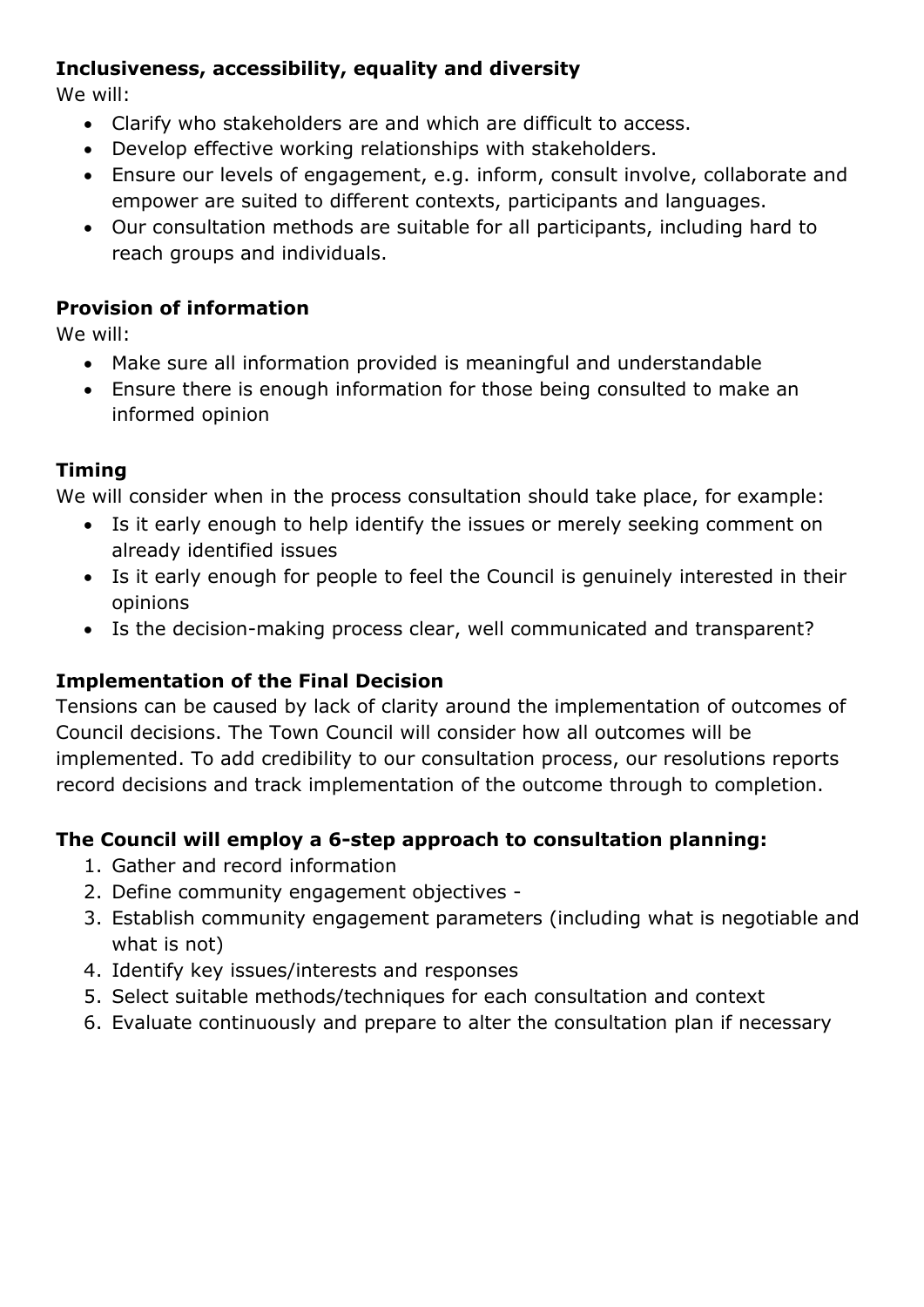## **Inclusiveness, accessibility, equality and diversity**

We will:

- Clarify who stakeholders are and which are difficult to access.
- Develop effective working relationships with stakeholders.
- Ensure our levels of engagement, e.g. inform, consult involve, collaborate and empower are suited to different contexts, participants and languages.
- Our consultation methods are suitable for all participants, including hard to reach groups and individuals.

#### **Provision of information**

We will:

- Make sure all information provided is meaningful and understandable
- Ensure there is enough information for those being consulted to make an informed opinion

## **Timing**

We will consider when in the process consultation should take place, for example:

- Is it early enough to help identify the issues or merely seeking comment on already identified issues
- Is it early enough for people to feel the Council is genuinely interested in their opinions
- Is the decision-making process clear, well communicated and transparent?

## **Implementation of the Final Decision**

Tensions can be caused by lack of clarity around the implementation of outcomes of Council decisions. The Town Council will consider how all outcomes will be implemented. To add credibility to our consultation process, our resolutions reports record decisions and track implementation of the outcome through to completion.

## **The Council will employ a 6-step approach to consultation planning:**

- 1. Gather and record information
- 2. Define community engagement objectives -
- 3. Establish community engagement parameters (including what is negotiable and what is not)
- 4. Identify key issues/interests and responses
- 5. Select suitable methods/techniques for each consultation and context
- 6. Evaluate continuously and prepare to alter the consultation plan if necessary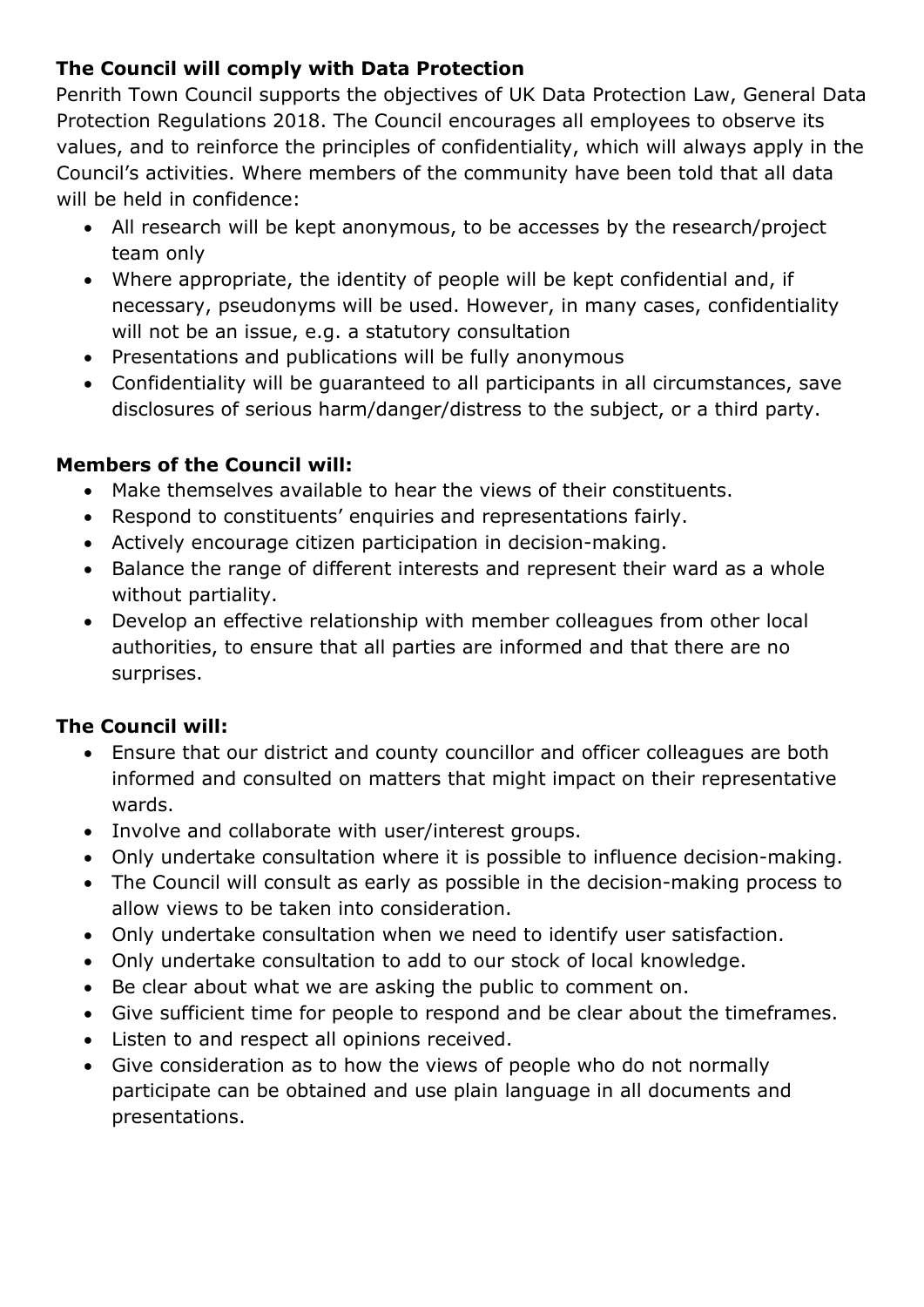# **The Council will comply with Data Protection**

Penrith Town Council supports the objectives of UK Data Protection Law, General Data Protection Regulations 2018. The Council encourages all employees to observe its values, and to reinforce the principles of confidentiality, which will always apply in the Council's activities. Where members of the community have been told that all data will be held in confidence:

- All research will be kept anonymous, to be accesses by the research/project team only
- Where appropriate, the identity of people will be kept confidential and, if necessary, pseudonyms will be used. However, in many cases, confidentiality will not be an issue, e.g. a statutory consultation
- Presentations and publications will be fully anonymous
- Confidentiality will be guaranteed to all participants in all circumstances, save disclosures of serious harm/danger/distress to the subject, or a third party.

#### **Members of the Council will:**

- Make themselves available to hear the views of their constituents.
- Respond to constituents' enquiries and representations fairly.
- Actively encourage citizen participation in decision-making.
- Balance the range of different interests and represent their ward as a whole without partiality.
- Develop an effective relationship with member colleagues from other local authorities, to ensure that all parties are informed and that there are no surprises.

## **The Council will:**

- Ensure that our district and county councillor and officer colleagues are both informed and consulted on matters that might impact on their representative wards.
- Involve and collaborate with user/interest groups.
- Only undertake consultation where it is possible to influence decision-making.
- The Council will consult as early as possible in the decision-making process to allow views to be taken into consideration.
- Only undertake consultation when we need to identify user satisfaction.
- Only undertake consultation to add to our stock of local knowledge.
- Be clear about what we are asking the public to comment on.
- Give sufficient time for people to respond and be clear about the timeframes.
- Listen to and respect all opinions received.
- Give consideration as to how the views of people who do not normally participate can be obtained and use plain language in all documents and presentations.